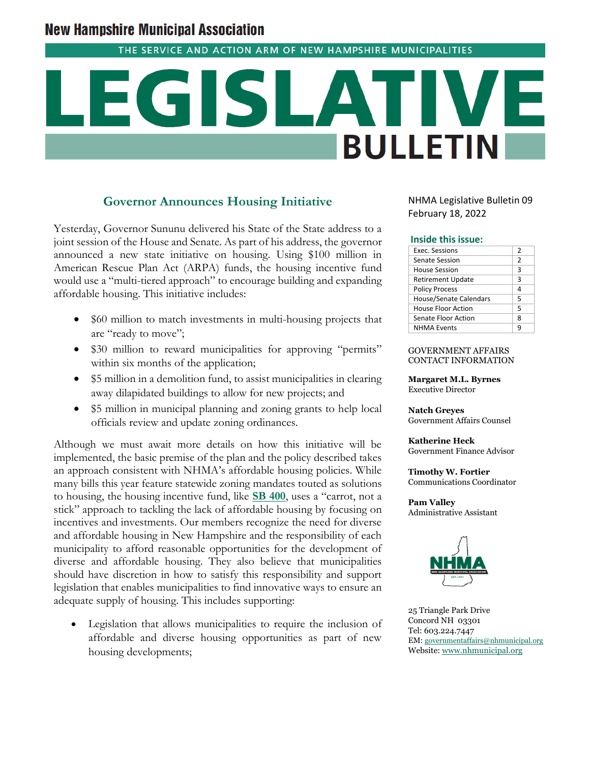# **New Hampshire Municipal Association**

THE SERVICE AND ACTION ARM OF NEW HAMPSHIRE MUNICIPALITIES

# **BULLETIN**

## **Governor Announces Housing Initiative**

Yesterday, Governor Sununu delivered his State of the State address to a joint session of the House and Senate. As part of his address, the governor announced a new state initiative on housing. Using \$100 million in American Rescue Plan Act (ARPA) funds, the housing incentive fund would use a "multi-tiered approach" to encourage building and expanding affordable housing. This initiative includes:

- \$60 million to match investments in multi-housing projects that are "ready to move";
- \$30 million to reward municipalities for approving "permits" within six months of the application;
- \$5 million in a demolition fund, to assist municipalities in clearing away dilapidated buildings to allow for new projects; and
- \$5 million in municipal planning and zoning grants to help local officials review and update zoning ordinances.

Although we must await more details on how this initiative will be implemented, the basic premise of the plan and the policy described takes an approach consistent with NHMA's affordable housing policies. While many bills this year feature statewide zoning mandates touted as solutions to housing, the housing incentive fund, like **[SB 400](http://www.gencourt.state.nh.us/bill_status/pdf.aspx?id=29619&q=billVersion)**, uses a "carrot, not a stick" approach to tackling the lack of affordable housing by focusing on incentives and investments. Our members recognize the need for diverse and affordable housing in New Hampshire and the responsibility of each municipality to afford reasonable opportunities for the development of diverse and affordable housing. They also believe that municipalities should have discretion in how to satisfy this responsibility and support legislation that enables municipalities to find innovative ways to ensure an adequate supply of housing. This includes supporting:

Legislation that allows municipalities to require the inclusion of affordable and diverse housing opportunities as part of new housing developments;

NHMA Legislative Bulletin 09 February 18, 2022

#### **Inside this issue:**

| <b>Exec. Sessions</b>         | 2             |
|-------------------------------|---------------|
| Senate Session                | $\mathcal{P}$ |
| House Session                 | 3             |
| <b>Retirement Update</b>      | 3             |
| <b>Policy Process</b>         | 4             |
| <b>House/Senate Calendars</b> | 5             |
| House Floor Action            | 5             |
| Senate Floor Action           | ጸ             |
| <b>NHMA Events</b>            | q             |
|                               |               |

#### GOVERNMENT AFFAIRS CONTACT INFORMATION

**Margaret M.L. Byrnes** Executive Director

**Natch Greyes** Government Affairs Counsel

**Katherine Heck** Government Finance Advisor

**Timothy W. Fortier** Communications Coordinator

**Pam Valley** Administrative Assistant



25 Triangle Park Drive Concord NH 03301 Tel: 603.224.7447 EM: [governmentaffairs@nhmunicipal.org](mailto:governmentaffairs@nhmunicipal.org) Website: [www.nhmunicipal.org](http://www.nhmunicipal.org/)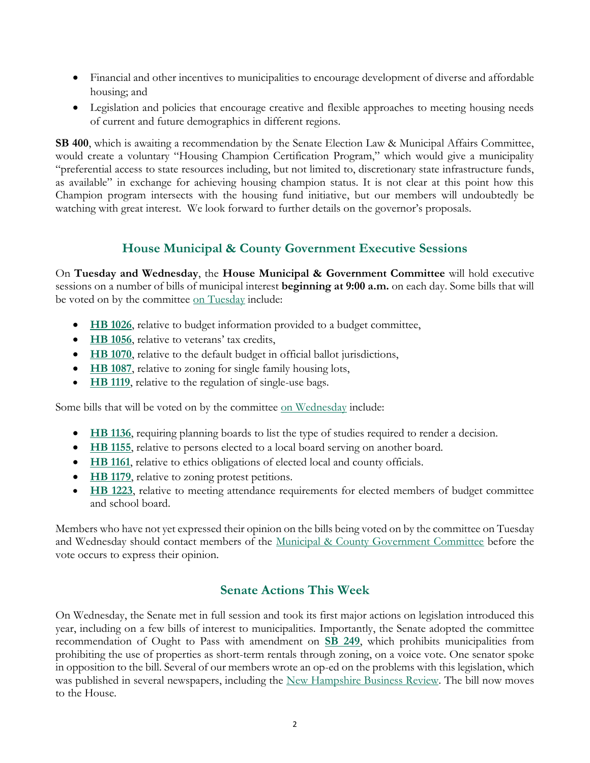- Financial and other incentives to municipalities to encourage development of diverse and affordable housing; and
- Legislation and policies that encourage creative and flexible approaches to meeting housing needs of current and future demographics in different regions.

**SB 400**, which is awaiting a recommendation by the Senate Election Law & Municipal Affairs Committee, would create a voluntary "Housing Champion Certification Program," which would give a municipality "preferential access to state resources including, but not limited to, discretionary state infrastructure funds, as available" in exchange for achieving housing champion status. It is not clear at this point how this Champion program intersects with the housing fund initiative, but our members will undoubtedly be watching with great interest. We look forward to further details on the governor's proposals.

# **House Municipal & County Government Executive Sessions**

On **Tuesday and Wednesday**, the **House Municipal & Government Committee** will hold executive sessions on a number of bills of municipal interest **beginning at 9:00 a.m.** on each day. Some bills that will be voted on by the committee [on Tuesday](http://www.gencourt.state.nh.us/house/schedule/eventDetails.aspx?event=7003&et=11) include:

- **[HB 1026](http://www.gencourt.state.nh.us/bill_status/pdf.aspx?id=26030&q=billVersion)**, relative to budget information provided to a budget committee,
- **[HB 1056](http://www.gencourt.state.nh.us/bill_status/pdf.aspx?id=26080&q=billVersion)**, relative to veterans' tax credits,
- **[HB 1070](http://www.gencourt.state.nh.us/bill_status/pdf.aspx?id=26094&q=billVersion)**, relative to the default budget in official ballot jurisdictions,
- **[HB 1087](http://www.gencourt.state.nh.us/bill_status/pdf.aspx?id=26119&q=billVersion)**, relative to zoning for single family housing lots,
- **[HB 1119](http://www.gencourt.state.nh.us/bill_status/pdf.aspx?id=27271&q=billVersion)**, relative to the regulation of single-use bags.

Some bills that will be voted on by the committee [on Wednesday](http://www.gencourt.state.nh.us/house/schedule/eventDetails.aspx?event=7004&et=11) include:

- **[HB 1136](http://www.gencourt.state.nh.us/bill_status/pdf.aspx?id=27300&q=billVersion)**, requiring planning boards to list the type of studies required to render a decision.
- **[HB 1155](http://www.gencourt.state.nh.us/bill_status/pdf.aspx?id=27379&q=billVersion)**, relative to persons elected to a local board serving on another board.
- **[HB 1161](http://www.gencourt.state.nh.us/bill_status/pdf.aspx?id=27401&q=billVersion)**, relative to ethics obligations of elected local and county officials.
- **[HB 1179](http://www.gencourt.state.nh.us/bill_status/pdf.aspx?id=27468&q=billVersion)**, relative to zoning protest petitions.
- **[HB 1223](http://www.gencourt.state.nh.us/bill_status/pdf.aspx?id=27659&q=billVersion)**, relative to meeting attendance requirements for elected members of budget committee and school board.

Members who have not yet expressed their opinion on the bills being voted on by the committee on Tuesday and Wednesday should contact members of the [Municipal & County Government Committee](http://www.gencourt.state.nh.us/house/committees/committeedetails.aspx?id=11) before the vote occurs to express their opinion.

# **Senate Actions This Week**

On Wednesday, the Senate met in full session and took its first major actions on legislation introduced this year, including on a few bills of interest to municipalities. Importantly, the Senate adopted the committee recommendation of Ought to Pass with amendment on **[SB 249](http://www.gencourt.state.nh.us/bill_status/pdf.aspx?id=31859&q=billVersion)**, which prohibits municipalities from prohibiting the use of properties as short-term rentals through zoning, on a voice vote. One senator spoke in opposition to the bill. Several of our members wrote an op-ed on the problems with this legislation, which was published in several newspapers, including the [New Hampshire Business Review.](https://www.nhbr.com/opinion-proposed-state-mandate-on-short-term-rentals-is-not-right-for-new-hampshire/) The bill now moves to the House.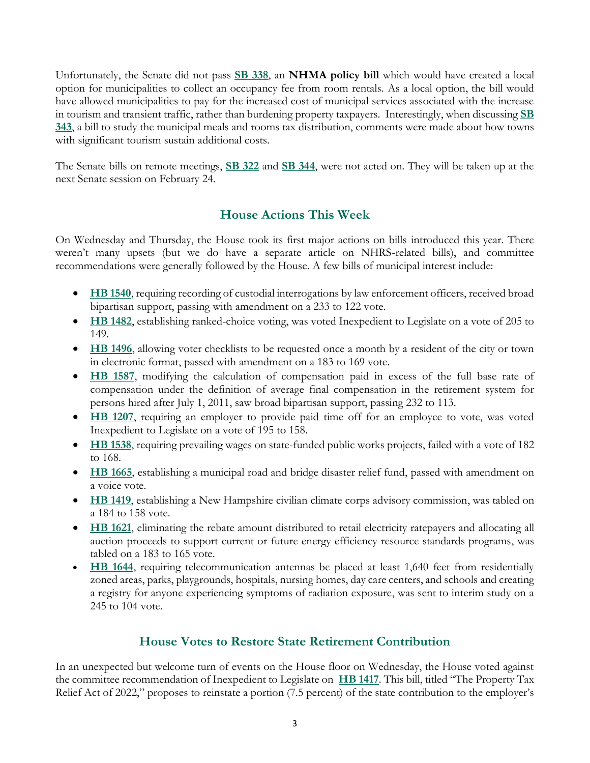Unfortunately, the Senate did not pass **[SB 338](http://www.gencourt.state.nh.us/bill_status/pdf.aspx?id=29082&q=billVersion)**, an **NHMA policy bill** which would have created a local option for municipalities to collect an occupancy fee from room rentals. As a local option, the bill would have allowed municipalities to pay for the increased cost of municipal services associated with the increase in tourism and transient traffic, rather than burdening property taxpayers. Interestingly, when discussing **[SB](http://www.gencourt.state.nh.us/bill_status/pdf.aspx?id=31902&q=billVersion)  [343](http://www.gencourt.state.nh.us/bill_status/pdf.aspx?id=31902&q=billVersion)**, a bill to study the municipal meals and rooms tax distribution, comments were made about how towns with significant tourism sustain additional costs.

The Senate bills on remote meetings, **[SB 322](http://www.gencourt.state.nh.us/bill_status/pdf.aspx?id=29065&q=billVersion)** and **[SB 344](http://www.gencourt.state.nh.us/bill_status/pdf.aspx?id=29088&q=billVersion)**, were not acted on. They will be taken up at the next Senate session on February 24.

# **House Actions This Week**

On Wednesday and Thursday, the House took its first major actions on bills introduced this year. There weren't many upsets (but we do have a separate article on NHRS-related bills), and committee recommendations were generally followed by the House. A few bills of municipal interest include:

- **[HB 1540](http://www.gencourt.state.nh.us/bill_status/pdf.aspx?id=31842&q=billVersion)**, requiring recording of custodial interrogations by law enforcement officers, received broad bipartisan support, passing with amendment on a 233 to 122 vote.
- **[HB 1482](http://www.gencourt.state.nh.us/bill_status/pdf.aspx?id=28439&q=billVersion)**, establishing ranked-choice voting, was voted Inexpedient to Legislate on a vote of 205 to 149.
- **[HB 1496](http://www.gencourt.state.nh.us/bill_status/pdf.aspx?id=31882&q=billVersion)**, allowing voter checklists to be requested once a month by a resident of the city or town in electronic format, passed with amendment on a 183 to 169 vote.
- **[HB 1587](http://www.gencourt.state.nh.us/bill_status/pdf.aspx?id=29386&q=billVersion)**, modifying the calculation of compensation paid in excess of the full base rate of compensation under the definition of average final compensation in the retirement system for persons hired after July 1, 2011, saw broad bipartisan support, passing 232 to 113.
- **[HB 1207](http://www.gencourt.state.nh.us/bill_status/pdf.aspx?id=27629&q=billVersion)**, requiring an employer to provide paid time off for an employee to vote, was voted Inexpedient to Legislate on a vote of 195 to 158.
- **[HB 1538](http://www.gencourt.state.nh.us/bill_status/pdf.aspx?id=28856&q=billVersion)**, requiring prevailing wages on state-funded public works projects, failed with a vote of 182 to 168.
- **[HB 1665](http://www.gencourt.state.nh.us/bill_status/pdf.aspx?id=30783&q=amendment)**, establishing a municipal road and bridge disaster relief fund, passed with amendment on a voice vote.
- **[HB 1419](http://www.gencourt.state.nh.us/bill_status/pdf.aspx?id=28314&q=billVersion)**, establishing a New Hampshire civilian climate corps advisory commission, was tabled on a 184 to 158 vote.
- **[HB 1621](http://www.gencourt.state.nh.us/bill_status/pdf.aspx?id=29540&q=billVersion)**, eliminating the rebate amount distributed to retail electricity ratepayers and allocating all auction proceeds to support current or future energy efficiency resource standards programs, was tabled on a 183 to 165 vote.
- **[HB 1644](http://www.gencourt.state.nh.us/bill_status/pdf.aspx?id=29663&q=billVersion)**, requiring telecommunication antennas be placed at least 1,640 feet from residentially zoned areas, parks, playgrounds, hospitals, nursing homes, day care centers, and schools and creating a registry for anyone experiencing symptoms of radiation exposure, was sent to interim study on a 245 to 104 vote.

# **House Votes to Restore State Retirement Contribution**

In an unexpected but welcome turn of events on the House floor on Wednesday, the House voted against the committee recommendation of Inexpedient to Legislate on **[HB 1417](http://www.gencourt.state.nh.us/bill_status/pdf.aspx?id=28309&q=billVersion)**. This bill, titled "The Property Tax Relief Act of 2022," proposes to reinstate a portion (7.5 percent) of the state contribution to the employer's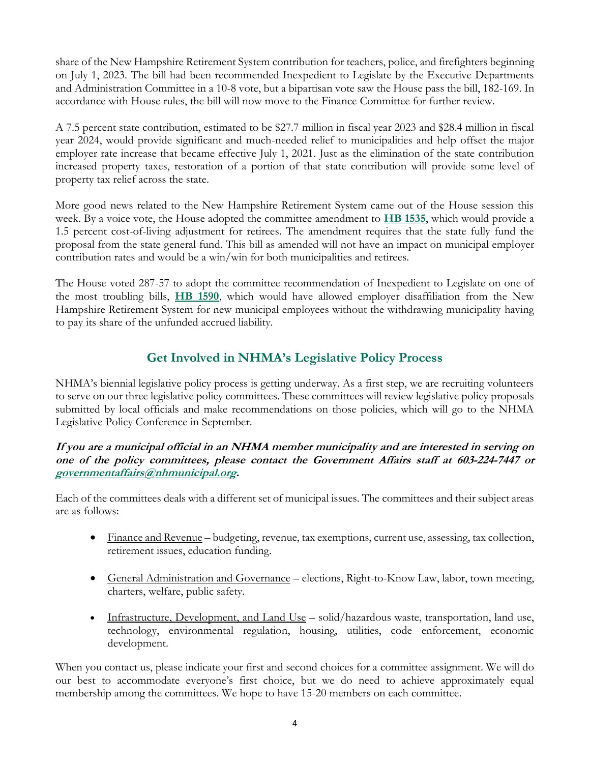share of the New Hampshire Retirement System contribution for teachers, police, and firefighters beginning on July 1, 2023. The bill had been recommended Inexpedient to Legislate by the Executive Departments and Administration Committee in a 10-8 vote, but a bipartisan vote saw the House pass the bill, 182-169. In accordance with House rules, the bill will now move to the Finance Committee for further review.

A 7.5 percent state contribution, estimated to be \$27.7 million in fiscal year 2023 and \$28.4 million in fiscal year 2024, would provide significant and much-needed relief to municipalities and help offset the major employer rate increase that became effective July 1, 2021. Just as the elimination of the state contribution increased property taxes, restoration of a portion of that state contribution will provide some level of property tax relief across the state.

More good news related to the New Hampshire Retirement System came out of the House session this week. By a voice vote, the House adopted the committee amendment to **[HB 1535](http://www.gencourt.state.nh.us/bill_status/pdf.aspx?id=31909&q=billVersion)**, which would provide a 1.5 percent cost-of-living adjustment for retirees. The amendment requires that the state fully fund the proposal from the state general fund. This bill as amended will not have an impact on municipal employer contribution rates and would be a win/win for both municipalities and retirees.

The House voted 287-57 to adopt the committee recommendation of Inexpedient to Legislate on one of the most troubling bills, **[HB 1590](http://www.gencourt.state.nh.us/bill_status/pdf.aspx?id=29391&q=billVersion)**, which would have allowed employer disaffiliation from the New Hampshire Retirement System for new municipal employees without the withdrawing municipality having to pay its share of the unfunded accrued liability.

# **Get Involved in NHMA's Legislative Policy Process**

NHMA's biennial legislative policy process is getting underway. As a first step, we are recruiting volunteers to serve on our three legislative policy committees. These committees will review legislative policy proposals submitted by local officials and make recommendations on those policies, which will go to the NHMA Legislative Policy Conference in September.

## **If you are a municipal official in an NHMA member municipality and are interested in serving on one of the policy committees, please contact the Government Affairs staff at 603-224-7447 or [governmentaffairs@nhmunicipal.org.](mailto:governmentaffairs@nhmunicipal.org)**

Each of the committees deals with a different set of municipal issues. The committees and their subject areas are as follows:

- Finance and Revenue budgeting, revenue, tax exemptions, current use, assessing, tax collection, retirement issues, education funding.
- General Administration and Governance elections, Right-to-Know Law, labor, town meeting, charters, welfare, public safety.
- Infrastructure, Development, and Land Use solid/hazardous waste, transportation, land use, technology, environmental regulation, housing, utilities, code enforcement, economic development.

When you contact us, please indicate your first and second choices for a committee assignment. We will do our best to accommodate everyone's first choice, but we do need to achieve approximately equal membership among the committees. We hope to have 15-20 members on each committee.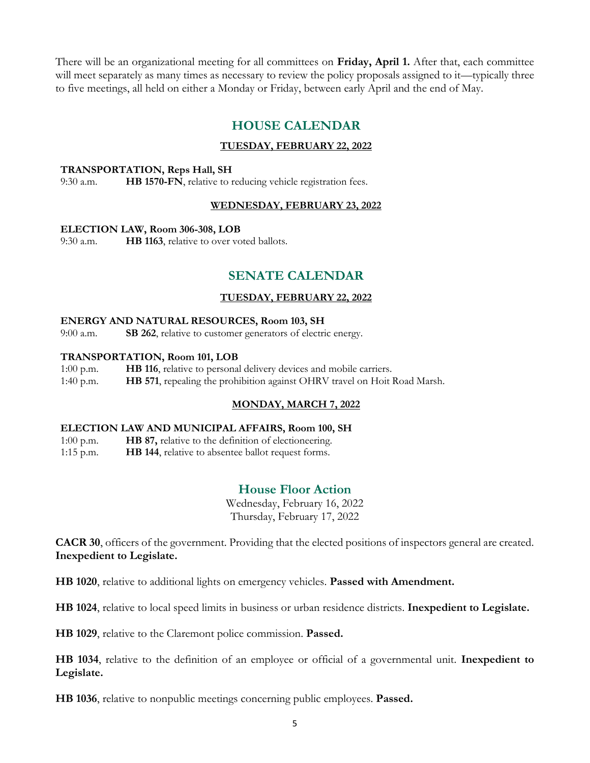There will be an organizational meeting for all committees on **Friday, April 1.** After that, each committee will meet separately as many times as necessary to review the policy proposals assigned to it—typically three to five meetings, all held on either a Monday or Friday, between early April and the end of May.

## **HOUSE CALENDAR**

## **TUESDAY, FEBRUARY 22, 2022**

#### **TRANSPORTATION, Reps Hall, SH**

9:30 a.m. **HB 1570-FN**, relative to reducing vehicle registration fees.

#### **WEDNESDAY, FEBRUARY 23, 2022**

#### **ELECTION LAW, Room 306-308, LOB**

9:30 a.m. **HB 1163**, relative to over voted ballots.

## **SENATE CALENDAR**

### **TUESDAY, FEBRUARY 22, 2022**

## **ENERGY AND NATURAL RESOURCES, Room 103, SH**

9:00 a.m. **SB 262**, relative to customer generators of electric energy.

#### **TRANSPORTATION, Room 101, LOB**

- 1:00 p.m. **HB 116**, relative to personal delivery devices and mobile carriers.
- 1:40 p.m. **HB 571**, repealing the prohibition against OHRV travel on Hoit Road Marsh.

## **MONDAY, MARCH 7, 2022**

#### **ELECTION LAW AND MUNICIPAL AFFAIRS, Room 100, SH**

1:00 p.m. **HB 87,** relative to the definition of electioneering.

1:15 p.m. **HB 144**, relative to absentee ballot request forms.

## **House Floor Action**

Wednesday, February 16, 2022 Thursday, February 17, 2022

**CACR 30**, officers of the government. Providing that the elected positions of inspectors general are created. **Inexpedient to Legislate.**

**HB 1020**, relative to additional lights on emergency vehicles. **Passed with Amendment.**

**HB 1024**, relative to local speed limits in business or urban residence districts. **Inexpedient to Legislate.**

**HB 1029**, relative to the Claremont police commission. **Passed.**

**HB 1034**, relative to the definition of an employee or official of a governmental unit. **Inexpedient to Legislate.**

**HB 1036**, relative to nonpublic meetings concerning public employees. **Passed.**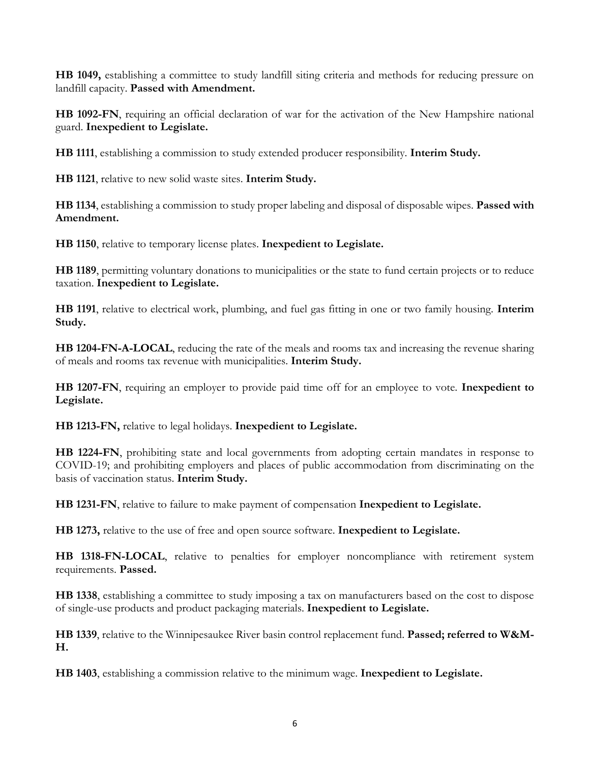**HB 1049,** establishing a committee to study landfill siting criteria and methods for reducing pressure on landfill capacity. **Passed with Amendment.**

**HB 1092-FN**, requiring an official declaration of war for the activation of the New Hampshire national guard. **Inexpedient to Legislate.**

**HB 1111**, establishing a commission to study extended producer responsibility. **Interim Study.**

**HB 1121**, relative to new solid waste sites. **Interim Study.**

**HB 1134**, establishing a commission to study proper labeling and disposal of disposable wipes. **Passed with Amendment.**

**HB 1150**, relative to temporary license plates. **Inexpedient to Legislate.**

**HB 1189**, permitting voluntary donations to municipalities or the state to fund certain projects or to reduce taxation. **Inexpedient to Legislate.**

**HB 1191**, relative to electrical work, plumbing, and fuel gas fitting in one or two family housing. **Interim Study.**

**HB 1204-FN-A-LOCAL**, reducing the rate of the meals and rooms tax and increasing the revenue sharing of meals and rooms tax revenue with municipalities. **Interim Study.**

**HB 1207-FN**, requiring an employer to provide paid time off for an employee to vote. **Inexpedient to Legislate.**

**HB 1213-FN,** relative to legal holidays. **Inexpedient to Legislate.**

**HB 1224-FN**, prohibiting state and local governments from adopting certain mandates in response to COVID-19; and prohibiting employers and places of public accommodation from discriminating on the basis of vaccination status. **Interim Study.**

**HB 1231-FN**, relative to failure to make payment of compensation **Inexpedient to Legislate.**

**HB 1273,** relative to the use of free and open source software. **Inexpedient to Legislate.**

**HB 1318-FN-LOCAL**, relative to penalties for employer noncompliance with retirement system requirements. **Passed.**

**HB 1338**, establishing a committee to study imposing a tax on manufacturers based on the cost to dispose of single-use products and product packaging materials. **Inexpedient to Legislate.**

**HB 1339**, relative to the Winnipesaukee River basin control replacement fund. **Passed; referred to W&M-H.**

**HB 1403**, establishing a commission relative to the minimum wage. **Inexpedient to Legislate.**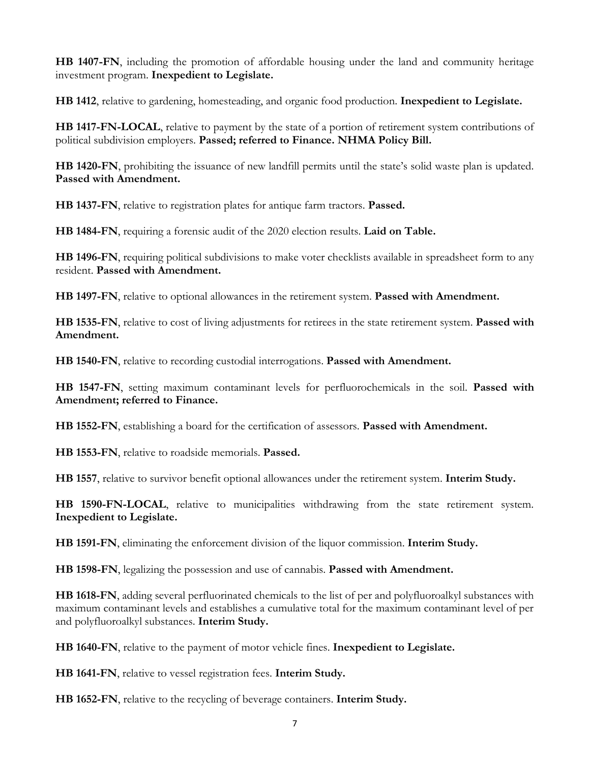**HB 1407-FN**, including the promotion of affordable housing under the land and community heritage investment program. **Inexpedient to Legislate.**

**HB 1412**, relative to gardening, homesteading, and organic food production. **Inexpedient to Legislate.**

**HB 1417-FN-LOCAL**, relative to payment by the state of a portion of retirement system contributions of political subdivision employers. **Passed; referred to Finance. NHMA Policy Bill.**

**HB 1420-FN**, prohibiting the issuance of new landfill permits until the state's solid waste plan is updated. **Passed with Amendment.**

**HB 1437-FN**, relative to registration plates for antique farm tractors. **Passed.**

**HB 1484-FN**, requiring a forensic audit of the 2020 election results. **Laid on Table.**

**HB 1496-FN**, requiring political subdivisions to make voter checklists available in spreadsheet form to any resident. **Passed with Amendment.**

**HB 1497-FN**, relative to optional allowances in the retirement system. **Passed with Amendment.**

**HB 1535-FN**, relative to cost of living adjustments for retirees in the state retirement system. **Passed with Amendment.**

**HB 1540-FN**, relative to recording custodial interrogations. **Passed with Amendment.**

**HB 1547-FN**, setting maximum contaminant levels for perfluorochemicals in the soil. **Passed with Amendment; referred to Finance.**

**HB 1552-FN**, establishing a board for the certification of assessors. **Passed with Amendment.**

**HB 1553-FN**, relative to roadside memorials. **Passed.**

**HB 1557**, relative to survivor benefit optional allowances under the retirement system. **Interim Study.**

**HB 1590-FN-LOCAL**, relative to municipalities withdrawing from the state retirement system. **Inexpedient to Legislate.**

**HB 1591-FN**, eliminating the enforcement division of the liquor commission. **Interim Study.**

**HB 1598-FN**, legalizing the possession and use of cannabis. **Passed with Amendment.**

**HB 1618-FN**, adding several perfluorinated chemicals to the list of per and polyfluoroalkyl substances with maximum contaminant levels and establishes a cumulative total for the maximum contaminant level of per and polyfluoroalkyl substances. **Interim Study.**

**HB 1640-FN**, relative to the payment of motor vehicle fines. **Inexpedient to Legislate.**

**HB 1641-FN**, relative to vessel registration fees. **Interim Study.**

**HB 1652-FN**, relative to the recycling of beverage containers. **Interim Study.**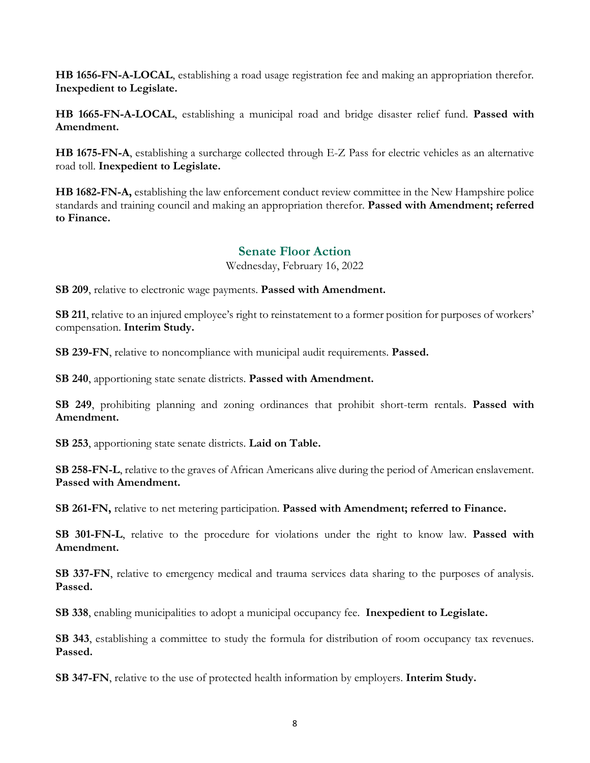**HB 1656-FN-A-LOCAL**, establishing a road usage registration fee and making an appropriation therefor. **Inexpedient to Legislate.**

**HB 1665-FN-A-LOCAL**, establishing a municipal road and bridge disaster relief fund. **Passed with Amendment.**

**HB 1675-FN-A**, establishing a surcharge collected through E-Z Pass for electric vehicles as an alternative road toll. **Inexpedient to Legislate.**

**HB 1682-FN-A,** establishing the law enforcement conduct review committee in the New Hampshire police standards and training council and making an appropriation therefor. **Passed with Amendment; referred to Finance.**

## **Senate Floor Action**

Wednesday, February 16, 2022

**SB 209**, relative to electronic wage payments. **Passed with Amendment.**

**SB 211**, relative to an injured employee's right to reinstatement to a former position for purposes of workers' compensation. **Interim Study.**

**SB 239-FN**, relative to noncompliance with municipal audit requirements. **Passed.**

**SB 240**, apportioning state senate districts. **Passed with Amendment.**

**SB 249**, prohibiting planning and zoning ordinances that prohibit short-term rentals. **Passed with Amendment.**

**SB 253**, apportioning state senate districts. **Laid on Table.**

**SB 258-FN-L**, relative to the graves of African Americans alive during the period of American enslavement. **Passed with Amendment.**

**SB 261-FN,** relative to net metering participation. **Passed with Amendment; referred to Finance.**

**SB 301-FN-L**, relative to the procedure for violations under the right to know law. **Passed with Amendment.**

**SB 337-FN**, relative to emergency medical and trauma services data sharing to the purposes of analysis. **Passed.**

**SB 338**, enabling municipalities to adopt a municipal occupancy fee. **Inexpedient to Legislate.**

**SB 343**, establishing a committee to study the formula for distribution of room occupancy tax revenues. **Passed.**

**SB 347-FN**, relative to the use of protected health information by employers. **Interim Study.**